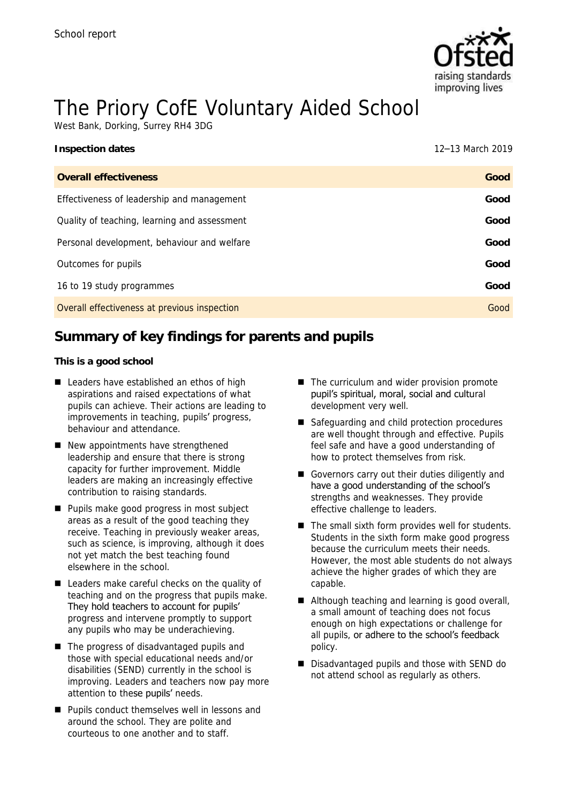

# The Priory CofE Voluntary Aided School

West Bank, Dorking, Surrey RH4 3DG

| Inspection dates                             | 12-13 March 2019 |
|----------------------------------------------|------------------|
| Overall effectiveness                        | Good             |
| Effectiveness of leadership and management   | Good             |
| Quality of teaching, learning and assessment | Good             |
| Personal development, behaviour and welfare  | Good             |
| Outcomes for pupils                          | Good             |
| 16 to 19 study programmes                    | Good             |
| Overall effectiveness at previous inspection | Good             |
|                                              |                  |

# **Summary of key findings for parents and pupils**

**This is a good school**

- Leaders have established an ethos of high aspirations and raised expectations of what pupils can achieve. Their actions are leading to improvements in teaching, pupils' progress, behaviour and attendance.
- New appointments have strengthened leadership and ensure that there is strong capacity for further improvement. Middle leaders are making an increasingly effective contribution to raising standards.
- Pupils make good progress in most subject areas as a result of the good teaching they receive. Teaching in previously weaker areas, such as science, is improving, although it does not yet match the best teaching found elsewhere in the school.
- Leaders make careful checks on the quality of teaching and on the progress that pupils make. They hold teachers to account for pupils' progress and intervene promptly to support any pupils who may be underachieving.
- The progress of disadvantaged pupils and those with special educational needs and/or disabilities (SEND) currently in the school is improving. Leaders and teachers now pay more attention to these pupils' needs.
- Pupils conduct themselves well in lessons and around the school. They are polite and courteous to one another and to staff.
- The curriculum and wider provision promote pupil's spiritual, moral, social and cultural development very well.
- Safeguarding and child protection procedures are well thought through and effective. Pupils feel safe and have a good understanding of how to protect themselves from risk.
- Governors carry out their duties diligently and have a good understanding of the school's strengths and weaknesses. They provide effective challenge to leaders.
- The small sixth form provides well for students. Students in the sixth form make good progress because the curriculum meets their needs. However, the most able students do not always achieve the higher grades of which they are capable.
- Although teaching and learning is good overall, a small amount of teaching does not focus enough on high expectations or challenge for all pupils, or adhere to the school's feedback policy.
- Disadvantaged pupils and those with SEND do not attend school as regularly as others.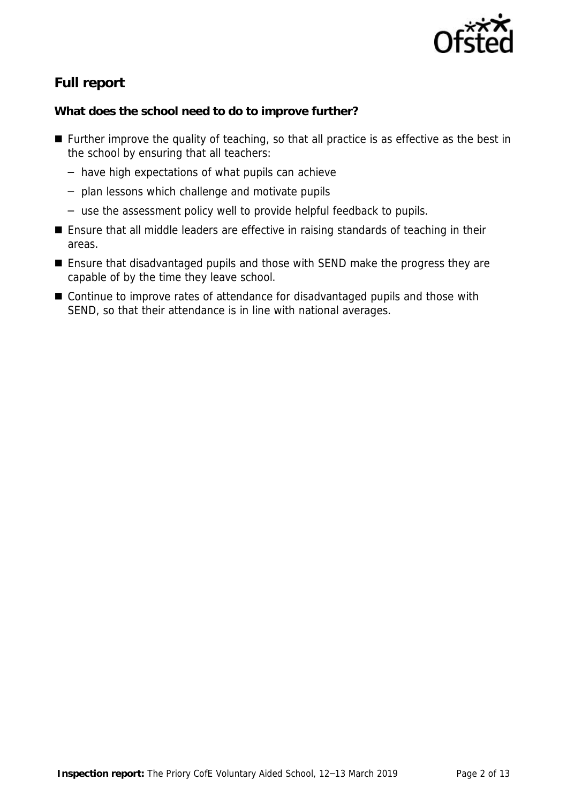

# **Full report**

**What does the school need to do to improve further?**

- Further improve the quality of teaching, so that all practice is as effective as the best in the school by ensuring that all teachers:
	- have high expectations of what pupils can achieve
	- plan lessons which challenge and motivate pupils
	- use the assessment policy well to provide helpful feedback to pupils.
- Ensure that all middle leaders are effective in raising standards of teaching in their areas.
- Ensure that disadvantaged pupils and those with SEND make the progress they are capable of by the time they leave school.
- Continue to improve rates of attendance for disadvantaged pupils and those with SEND, so that their attendance is in line with national averages.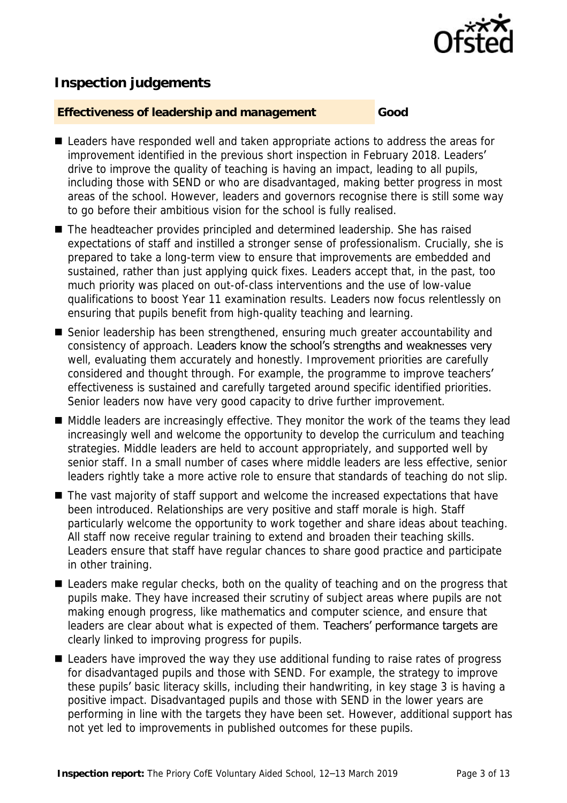

## **Inspection judgements**

#### **Effectiveness of leadership and management Good**

- Leaders have responded well and taken appropriate actions to address the areas for improvement identified in the previous short inspection in February 2018. Leaders' drive to improve the quality of teaching is having an impact, leading to all pupils, including those with SEND or who are disadvantaged, making better progress in most areas of the school. However, leaders and governors recognise there is still some way to go before their ambitious vision for the school is fully realised.
- The headteacher provides principled and determined leadership. She has raised expectations of staff and instilled a stronger sense of professionalism. Crucially, she is prepared to take a long-term view to ensure that improvements are embedded and sustained, rather than just applying quick fixes. Leaders accept that, in the past, too much priority was placed on out-of-class interventions and the use of low-value qualifications to boost Year 11 examination results. Leaders now focus relentlessly on ensuring that pupils benefit from high-quality teaching and learning.
- Senior leadership has been strengthened, ensuring much greater accountability and consistency of approach. Leaders know the school's strengths and weaknesses very well, evaluating them accurately and honestly. Improvement priorities are carefully considered and thought through. For example, the programme to improve teachers' effectiveness is sustained and carefully targeted around specific identified priorities. Senior leaders now have very good capacity to drive further improvement.
- Middle leaders are increasingly effective. They monitor the work of the teams they lead increasingly well and welcome the opportunity to develop the curriculum and teaching strategies. Middle leaders are held to account appropriately, and supported well by senior staff. In a small number of cases where middle leaders are less effective, senior leaders rightly take a more active role to ensure that standards of teaching do not slip.
- The vast majority of staff support and welcome the increased expectations that have been introduced. Relationships are very positive and staff morale is high. Staff particularly welcome the opportunity to work together and share ideas about teaching. All staff now receive regular training to extend and broaden their teaching skills. Leaders ensure that staff have regular chances to share good practice and participate in other training.
- Leaders make regular checks, both on the quality of teaching and on the progress that pupils make. They have increased their scrutiny of subject areas where pupils are not making enough progress, like mathematics and computer science, and ensure that leaders are clear about what is expected of them. Teachers' performance targets are clearly linked to improving progress for pupils.
- Leaders have improved the way they use additional funding to raise rates of progress for disadvantaged pupils and those with SEND. For example, the strategy to improve these pupils' basic literacy skills, including their handwriting, in key stage 3 is having a positive impact. Disadvantaged pupils and those with SEND in the lower years are performing in line with the targets they have been set. However, additional support has not yet led to improvements in published outcomes for these pupils.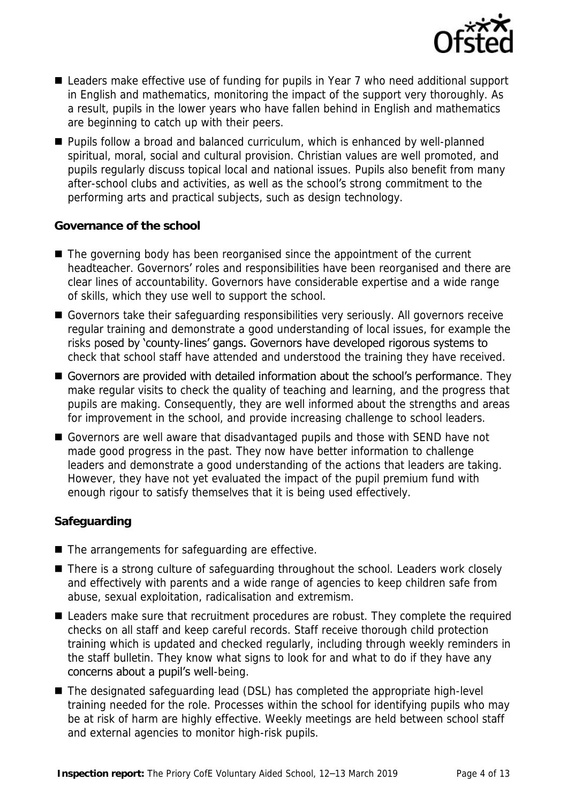

- Leaders make effective use of funding for pupils in Year 7 who need additional support in English and mathematics, monitoring the impact of the support very thoroughly. As a result, pupils in the lower years who have fallen behind in English and mathematics are beginning to catch up with their peers.
- Pupils follow a broad and balanced curriculum, which is enhanced by well-planned spiritual, moral, social and cultural provision. Christian values are well promoted, and pupils regularly discuss topical local and national issues. Pupils also benefit from many after-school clubs and activities, as well as the school's strong commitment to the performing arts and practical subjects, such as design technology.

#### **Governance of the school**

- The governing body has been reorganised since the appointment of the current headteacher. Governors' roles and responsibilities have been reorganised and there are clear lines of accountability. Governors have considerable expertise and a wide range of skills, which they use well to support the school.
- Governors take their safequarding responsibilities very seriously. All governors receive regular training and demonstrate a good understanding of local issues, for example the risks posed by 'county-lines' gangs. Governors have developed rigorous systems to check that school staff have attended and understood the training they have received.
- Governors are provided with detailed information about the school's performance. They make regular visits to check the quality of teaching and learning, and the progress that pupils are making. Consequently, they are well informed about the strengths and areas for improvement in the school, and provide increasing challenge to school leaders.
- Governors are well aware that disadvantaged pupils and those with SEND have not made good progress in the past. They now have better information to challenge leaders and demonstrate a good understanding of the actions that leaders are taking. However, they have not yet evaluated the impact of the pupil premium fund with enough rigour to satisfy themselves that it is being used effectively.

#### **Safeguarding**

- The arrangements for safeguarding are effective.
- There is a strong culture of safeguarding throughout the school. Leaders work closely and effectively with parents and a wide range of agencies to keep children safe from abuse, sexual exploitation, radicalisation and extremism.
- Leaders make sure that recruitment procedures are robust. They complete the required checks on all staff and keep careful records. Staff receive thorough child protection training which is updated and checked regularly, including through weekly reminders in the staff bulletin. They know what signs to look for and what to do if they have any concerns about a pupil's well-being.
- The designated safeguarding lead (DSL) has completed the appropriate high-level training needed for the role. Processes within the school for identifying pupils who may be at risk of harm are highly effective. Weekly meetings are held between school staff and external agencies to monitor high-risk pupils.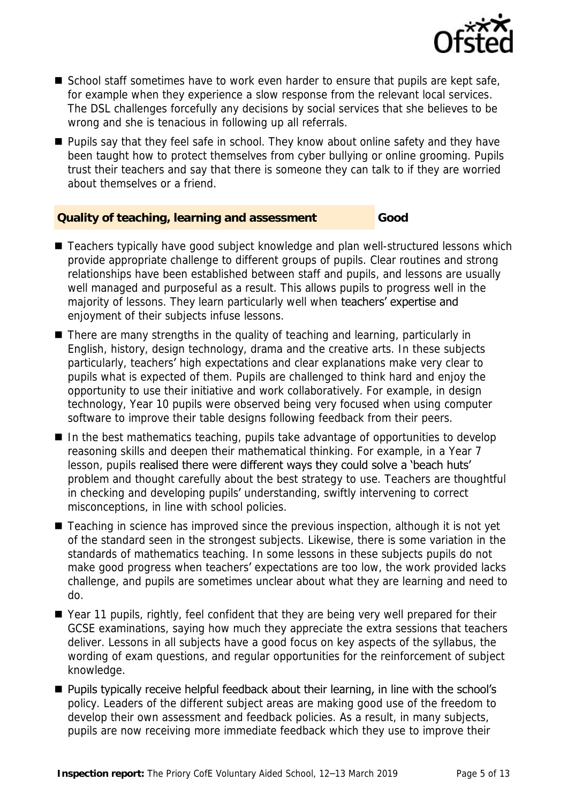

- School staff sometimes have to work even harder to ensure that pupils are kept safe, for example when they experience a slow response from the relevant local services. The DSL challenges forcefully any decisions by social services that she believes to be wrong and she is tenacious in following up all referrals.
- Pupils say that they feel safe in school. They know about online safety and they have been taught how to protect themselves from cyber bullying or online grooming. Pupils trust their teachers and say that there is someone they can talk to if they are worried about themselves or a friend.

#### **Quality of teaching, learning and assessment Good**

- Teachers typically have good subject knowledge and plan well-structured lessons which provide appropriate challenge to different groups of pupils. Clear routines and strong relationships have been established between staff and pupils, and lessons are usually well managed and purposeful as a result. This allows pupils to progress well in the majority of lessons. They learn particularly well when teachers' expertise and enjoyment of their subjects infuse lessons.
- There are many strengths in the quality of teaching and learning, particularly in English, history, design technology, drama and the creative arts. In these subjects particularly, teachers' high expectations and clear explanations make very clear to pupils what is expected of them. Pupils are challenged to think hard and enjoy the opportunity to use their initiative and work collaboratively. For example, in design technology, Year 10 pupils were observed being very focused when using computer software to improve their table designs following feedback from their peers.
- In the best mathematics teaching, pupils take advantage of opportunities to develop reasoning skills and deepen their mathematical thinking. For example, in a Year 7 lesson, pupils realised there were different ways they could solve a 'beach huts' problem and thought carefully about the best strategy to use. Teachers are thoughtful in checking and developing pupils' understanding, swiftly intervening to correct misconceptions, in line with school policies.
- Teaching in science has improved since the previous inspection, although it is not yet of the standard seen in the strongest subjects. Likewise, there is some variation in the standards of mathematics teaching. In some lessons in these subjects pupils do not make good progress when teachers' expectations are too low, the work provided lacks challenge, and pupils are sometimes unclear about what they are learning and need to do.
- Year 11 pupils, rightly, feel confident that they are being very well prepared for their GCSE examinations, saying how much they appreciate the extra sessions that teachers deliver. Lessons in all subjects have a good focus on key aspects of the syllabus, the wording of exam questions, and regular opportunities for the reinforcement of subject knowledge.
- Pupils typically receive helpful feedback about their learning, in line with the school's policy. Leaders of the different subject areas are making good use of the freedom to develop their own assessment and feedback policies. As a result, in many subjects, pupils are now receiving more immediate feedback which they use to improve their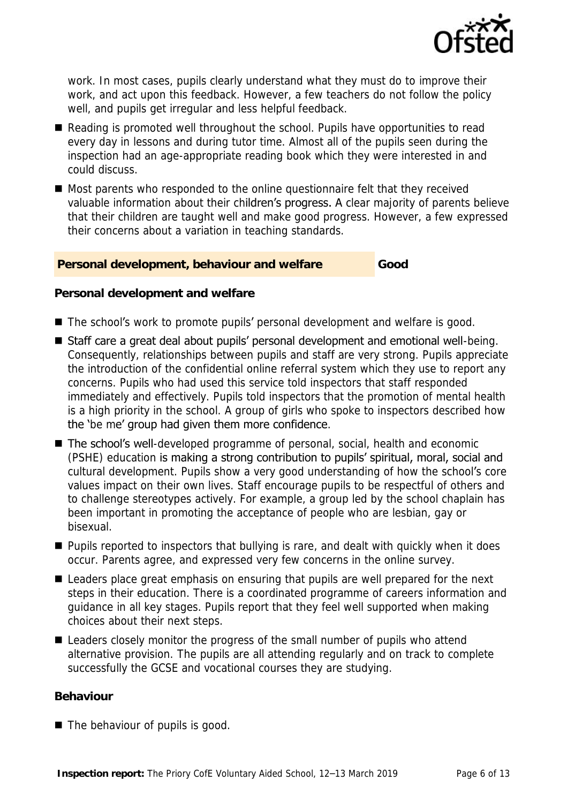

work. In most cases, pupils clearly understand what they must do to improve their work, and act upon this feedback. However, a few teachers do not follow the policy well, and pupils get irregular and less helpful feedback.

- Reading is promoted well throughout the school. Pupils have opportunities to read every day in lessons and during tutor time. Almost all of the pupils seen during the inspection had an age-appropriate reading book which they were interested in and could discuss.
- Most parents who responded to the online questionnaire felt that they received valuable information about their children's progress. A clear majority of parents believe that their children are taught well and make good progress. However, a few expressed their concerns about a variation in teaching standards.

#### **Personal development, behaviour and welfare Good**

**Personal development and welfare**

- The school's work to promote pupils' personal development and welfare is good.
- Staff care a great deal about pupils' personal development and emotional well-being. Consequently, relationships between pupils and staff are very strong. Pupils appreciate the introduction of the confidential online referral system which they use to report any concerns. Pupils who had used this service told inspectors that staff responded immediately and effectively. Pupils told inspectors that the promotion of mental health is a high priority in the school. A group of girls who spoke to inspectors described how the 'be me' group had given them more confidence.
- The school's well-developed programme of personal, social, health and economic (PSHE) education is making a strong contribution to pupils' spiritual, moral, social and cultural development. Pupils show a very good understanding of how the school's core values impact on their own lives. Staff encourage pupils to be respectful of others and to challenge stereotypes actively. For example, a group led by the school chaplain has been important in promoting the acceptance of people who are lesbian, gay or bisexual.
- Pupils reported to inspectors that bullying is rare, and dealt with quickly when it does occur. Parents agree, and expressed very few concerns in the online survey.
- Leaders place great emphasis on ensuring that pupils are well prepared for the next steps in their education. There is a coordinated programme of careers information and guidance in all key stages. Pupils report that they feel well supported when making choices about their next steps.
- Leaders closely monitor the progress of the small number of pupils who attend alternative provision. The pupils are all attending regularly and on track to complete successfully the GCSE and vocational courses they are studying.

#### **Behaviour**

■ The behaviour of pupils is good.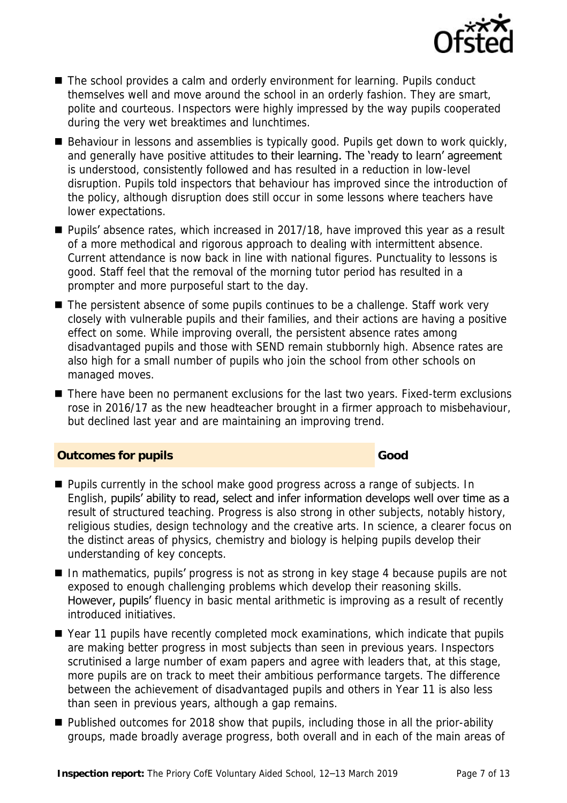

- The school provides a calm and orderly environment for learning. Pupils conduct themselves well and move around the school in an orderly fashion. They are smart, polite and courteous. Inspectors were highly impressed by the way pupils cooperated during the very wet breaktimes and lunchtimes.
- Behaviour in lessons and assemblies is typically good. Pupils get down to work quickly, and generally have positive attitudes to their learning. The 'ready to learn' agreement is understood, consistently followed and has resulted in a reduction in low-level disruption. Pupils told inspectors that behaviour has improved since the introduction of the policy, although disruption does still occur in some lessons where teachers have lower expectations.
- Pupils' absence rates, which increased in 2017/18, have improved this year as a result of a more methodical and rigorous approach to dealing with intermittent absence. Current attendance is now back in line with national figures. Punctuality to lessons is good. Staff feel that the removal of the morning tutor period has resulted in a prompter and more purposeful start to the day.
- The persistent absence of some pupils continues to be a challenge. Staff work very closely with vulnerable pupils and their families, and their actions are having a positive effect on some. While improving overall, the persistent absence rates among disadvantaged pupils and those with SEND remain stubbornly high. Absence rates are also high for a small number of pupils who join the school from other schools on managed moves.
- There have been no permanent exclusions for the last two years. Fixed-term exclusions rose in 2016/17 as the new headteacher brought in a firmer approach to misbehaviour, but declined last year and are maintaining an improving trend.

#### **Outcomes for pupils Good Good**

- Pupils currently in the school make good progress across a range of subjects. In English, pupils' ability to read, select and infer information develops well over time as a result of structured teaching. Progress is also strong in other subjects, notably history, religious studies, design technology and the creative arts. In science, a clearer focus on the distinct areas of physics, chemistry and biology is helping pupils develop their understanding of key concepts.
- In mathematics, pupils' progress is not as strong in key stage 4 because pupils are not exposed to enough challenging problems which develop their reasoning skills. However, pupils' fluency in basic mental arithmetic is improving as a result of recently introduced initiatives.
- Year 11 pupils have recently completed mock examinations, which indicate that pupils are making better progress in most subjects than seen in previous years. Inspectors scrutinised a large number of exam papers and agree with leaders that, at this stage, more pupils are on track to meet their ambitious performance targets. The difference between the achievement of disadvantaged pupils and others in Year 11 is also less than seen in previous years, although a gap remains.
- Published outcomes for 2018 show that pupils, including those in all the prior-ability groups, made broadly average progress, both overall and in each of the main areas of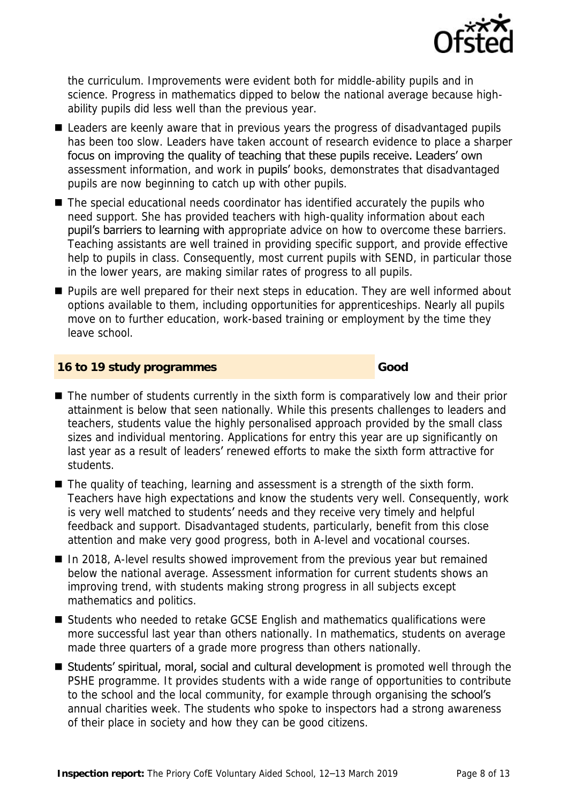

the curriculum. Improvements were evident both for middle-ability pupils and in science. Progress in mathematics dipped to below the national average because highability pupils did less well than the previous year.

- Leaders are keenly aware that in previous years the progress of disadvantaged pupils has been too slow. Leaders have taken account of research evidence to place a sharper focus on improving the quality of teaching that these pupils receive. Leaders' own assessment information, and work in **pupils'** books, demonstrates that disadvantaged pupils are now beginning to catch up with other pupils.
- The special educational needs coordinator has identified accurately the pupils who need support. She has provided teachers with high-quality information about each pupil's barriers to learning with appropriate advice on how to overcome these barriers. Teaching assistants are well trained in providing specific support, and provide effective help to pupils in class. Consequently, most current pupils with SEND, in particular those in the lower years, are making similar rates of progress to all pupils.
- Pupils are well prepared for their next steps in education. They are well informed about options available to them, including opportunities for apprenticeships. Nearly all pupils move on to further education, work-based training or employment by the time they leave school.

#### **16 to 19 study programmes Good**

- The number of students currently in the sixth form is comparatively low and their prior attainment is below that seen nationally. While this presents challenges to leaders and teachers, students value the highly personalised approach provided by the small class sizes and individual mentoring. Applications for entry this year are up significantly on last year as a result of leaders' renewed efforts to make the sixth form attractive for students.
- The quality of teaching, learning and assessment is a strength of the sixth form. Teachers have high expectations and know the students very well. Consequently, work is very well matched to students' needs and they receive very timely and helpful feedback and support. Disadvantaged students, particularly, benefit from this close attention and make very good progress, both in A-level and vocational courses.
- In 2018, A-level results showed improvement from the previous year but remained below the national average. Assessment information for current students shows an improving trend, with students making strong progress in all subjects except mathematics and politics.
- Students who needed to retake GCSE English and mathematics qualifications were more successful last year than others nationally. In mathematics, students on average made three quarters of a grade more progress than others nationally.
- Students' spiritual, moral, social and cultural development is promoted well through the PSHE programme. It provides students with a wide range of opportunities to contribute to the school and the local community, for example through organising the school's annual charities week. The students who spoke to inspectors had a strong awareness of their place in society and how they can be good citizens.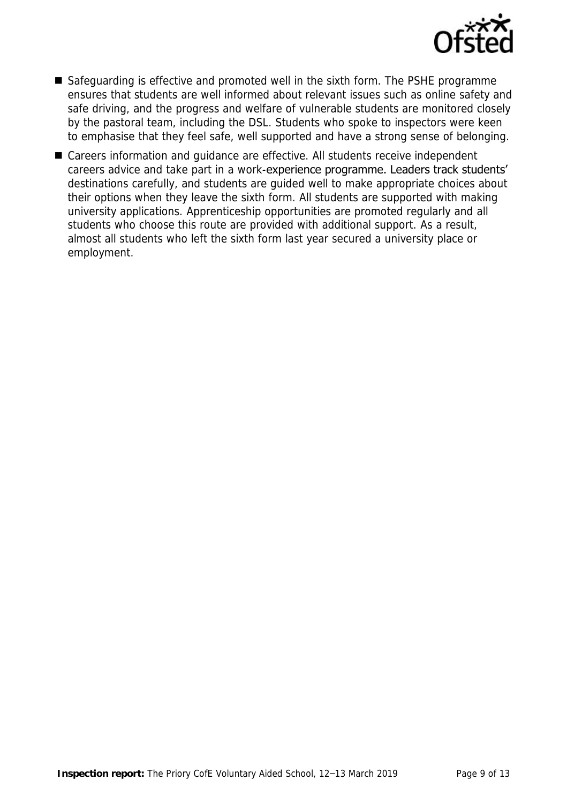

- Safeguarding is effective and promoted well in the sixth form. The PSHE programme ensures that students are well informed about relevant issues such as online safety and safe driving, and the progress and welfare of vulnerable students are monitored closely by the pastoral team, including the DSL. Students who spoke to inspectors were keen to emphasise that they feel safe, well supported and have a strong sense of belonging.
- Careers information and guidance are effective. All students receive independent careers advice and take part in a work-experience programme. Leaders track students' destinations carefully, and students are guided well to make appropriate choices about their options when they leave the sixth form. All students are supported with making university applications. Apprenticeship opportunities are promoted regularly and all students who choose this route are provided with additional support. As a result, almost all students who left the sixth form last year secured a university place or employment.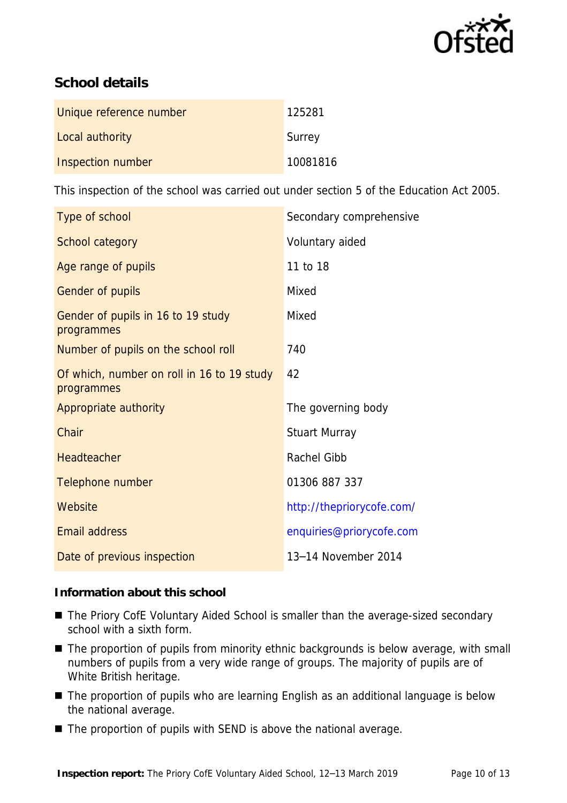

## **School details**

| Unique reference number | 125281   |
|-------------------------|----------|
| Local authority         | Surrey   |
| Inspection number       | 10081816 |

This inspection of the school was carried out under section 5 of the Education Act 2005.

| Type of school                                           | Secondary comprehensive   |
|----------------------------------------------------------|---------------------------|
| School category                                          | Voluntary aided           |
| Age range of pupils                                      | 11 to 18                  |
| Gender of pupils                                         | Mixed                     |
| Gender of pupils in 16 to 19 study<br>programmes         | Mixed                     |
| Number of pupils on the school roll                      | 740                       |
| Of which, number on roll in 16 to 19 study<br>programmes | 42                        |
| Appropriate authority                                    | The governing body        |
| Chair                                                    | Stuart Murray             |
| Headteacher                                              | Rachel Gibb               |
| Telephone number                                         | 01306 887 337             |
| Website                                                  | http://thepriorycofe.com/ |
| Email address                                            | enquiries@priorycofe.com  |
| Date of previous inspection                              | 13-14 November 2014       |

**Information about this school**

- The Priory CofE Voluntary Aided School is smaller than the average-sized secondary school with a sixth form.
- The proportion of pupils from minority ethnic backgrounds is below average, with small numbers of pupils from a very wide range of groups. The majority of pupils are of White British heritage.
- The proportion of pupils who are learning English as an additional language is below the national average.
- The proportion of pupils with SEND is above the national average.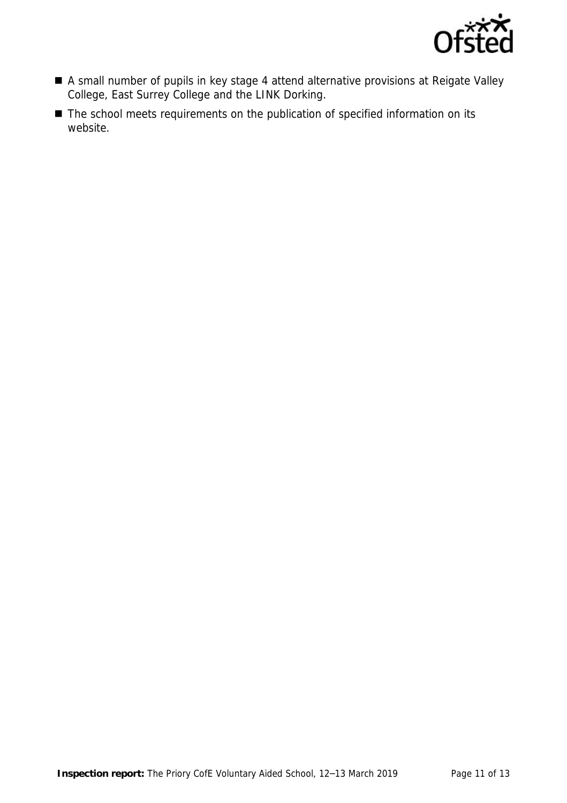

- A small number of pupils in key stage 4 attend alternative provisions at Reigate Valley College, East Surrey College and the LINK Dorking.
- The school meets requirements on the publication of specified information on its website.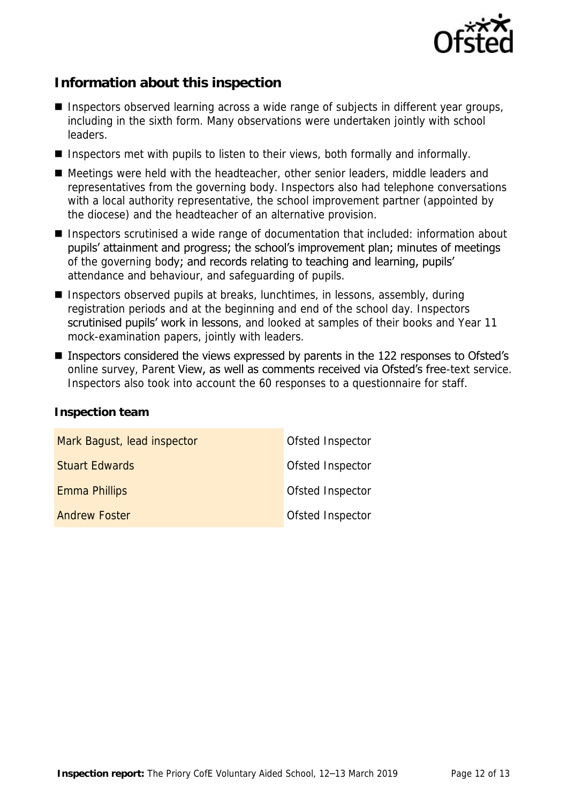

## **Information about this inspection**

- Inspectors observed learning across a wide range of subjects in different year groups, including in the sixth form. Many observations were undertaken jointly with school leaders.
- Inspectors met with pupils to listen to their views, both formally and informally.
- Meetings were held with the headteacher, other senior leaders, middle leaders and representatives from the governing body. Inspectors also had telephone conversations with a local authority representative, the school improvement partner (appointed by the diocese) and the headteacher of an alternative provision.
- Inspectors scrutinised a wide range of documentation that included: information about pupils' attainment and progress; the school's improvement plan; minutes of meetings of the governing body; and records relating to teaching and learning, pupils' attendance and behaviour, and safeguarding of pupils.
- Inspectors observed pupils at breaks, lunchtimes, in lessons, assembly, during registration periods and at the beginning and end of the school day. Inspectors scrutinised pupils' work in lessons, and looked at samples of their books and Year 11 mock-examination papers, jointly with leaders.
- Inspectors considered the views expressed by parents in the 122 responses to Ofsted's online survey, Parent View, as well as comments received via Ofsted's free-text service. Inspectors also took into account the 60 responses to a questionnaire for staff.

| Mark Bagust, lead inspector | Ofsted Inspector |
|-----------------------------|------------------|
| <b>Stuart Edwards</b>       | Ofsted Inspector |
| Emma Phillips               | Ofsted Inspector |
| <b>Andrew Foster</b>        | Ofsted Inspector |

**Inspection team**